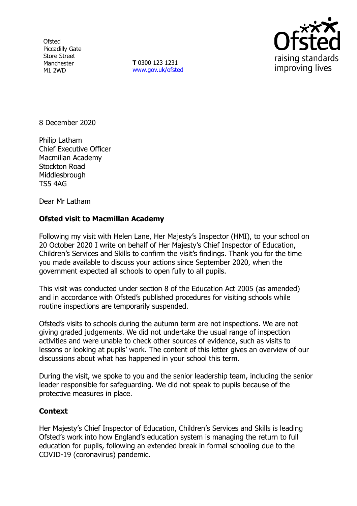**Ofsted** Piccadilly Gate Store Street Manchester M1 2WD

**T** 0300 123 1231 [www.gov.uk/ofsted](http://www.gov.uk/ofsted)



8 December 2020

Philip Latham Chief Executive Officer Macmillan Academy Stockton Road Middlesbrough TS5 4AG

Dear Mr Latham

## **Ofsted visit to Macmillan Academy**

Following my visit with Helen Lane, Her Majesty's Inspector (HMI), to your school on 20 October 2020 I write on behalf of Her Majesty's Chief Inspector of Education, Children's Services and Skills to confirm the visit's findings. Thank you for the time you made available to discuss your actions since September 2020, when the government expected all schools to open fully to all pupils.

This visit was conducted under section 8 of the Education Act 2005 (as amended) and in accordance with Ofsted's published procedures for visiting schools while routine inspections are temporarily suspended.

Ofsted's visits to schools during the autumn term are not inspections. We are not giving graded judgements. We did not undertake the usual range of inspection activities and were unable to check other sources of evidence, such as visits to lessons or looking at pupils' work. The content of this letter gives an overview of our discussions about what has happened in your school this term.

During the visit, we spoke to you and the senior leadership team, including the senior leader responsible for safeguarding. We did not speak to pupils because of the protective measures in place.

## **Context**

Her Majesty's Chief Inspector of Education, Children's Services and Skills is leading Ofsted's work into how England's education system is managing the return to full education for pupils, following an extended break in formal schooling due to the COVID-19 (coronavirus) pandemic.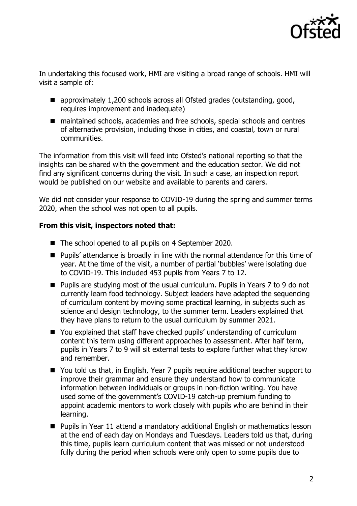

In undertaking this focused work, HMI are visiting a broad range of schools. HMI will visit a sample of:

- approximately 1,200 schools across all Ofsted grades (outstanding, good, requires improvement and inadequate)
- maintained schools, academies and free schools, special schools and centres of alternative provision, including those in cities, and coastal, town or rural communities.

The information from this visit will feed into Ofsted's national reporting so that the insights can be shared with the government and the education sector. We did not find any significant concerns during the visit. In such a case, an inspection report would be published on our website and available to parents and carers.

We did not consider your response to COVID-19 during the spring and summer terms 2020, when the school was not open to all pupils.

## **From this visit, inspectors noted that:**

- The school opened to all pupils on 4 September 2020.
- Pupils' attendance is broadly in line with the normal attendance for this time of year. At the time of the visit, a number of partial 'bubbles' were isolating due to COVID-19. This included 453 pupils from Years 7 to 12.
- Pupils are studying most of the usual curriculum. Pupils in Years 7 to 9 do not currently learn food technology. Subject leaders have adapted the sequencing of curriculum content by moving some practical learning, in subjects such as science and design technology, to the summer term. Leaders explained that they have plans to return to the usual curriculum by summer 2021.
- You explained that staff have checked pupils' understanding of curriculum content this term using different approaches to assessment. After half term, pupils in Years 7 to 9 will sit external tests to explore further what they know and remember.
- You told us that, in English, Year 7 pupils require additional teacher support to improve their grammar and ensure they understand how to communicate information between individuals or groups in non-fiction writing. You have used some of the government's COVID-19 catch-up premium funding to appoint academic mentors to work closely with pupils who are behind in their learning.
- **Pupils in Year 11 attend a mandatory additional English or mathematics lesson** at the end of each day on Mondays and Tuesdays. Leaders told us that, during this time, pupils learn curriculum content that was missed or not understood fully during the period when schools were only open to some pupils due to